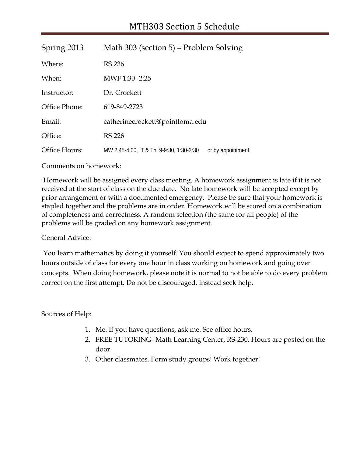| Spring 2013   | Math 303 (section 5) – Problem Solving                      |  |  |
|---------------|-------------------------------------------------------------|--|--|
| Where:        | <b>RS 236</b>                                               |  |  |
| When:         | MWF 1:30-2:25                                               |  |  |
| Instructor:   | Dr. Crockett                                                |  |  |
| Office Phone: | 619-849-2723                                                |  |  |
| Email:        | catherinecrockett@pointloma.edu                             |  |  |
| Office:       | <b>RS 226</b>                                               |  |  |
| Office Hours: | MW 2:45-4:00, T & Th 9-9:30, 1:30-3:30<br>or by appointment |  |  |

Comments on homework:

Homework will be assigned every class meeting. A homework assignment is late if it is not received at the start of class on the due date. No late homework will be accepted except by prior arrangement or with a documented emergency. Please be sure that your homework is stapled together and the problems are in order. Homework will be scored on a combination of completeness and correctness. A random selection (the same for all people) of the problems will be graded on any homework assignment.

## General Advice:

You learn mathematics by doing it yourself. You should expect to spend approximately two hours outside of class for every one hour in class working on homework and going over concepts. When doing homework, please note it is normal to not be able to do every problem correct on the first attempt. Do not be discouraged, instead seek help.

Sources of Help:

- 1. Me. If you have questions, ask me. See office hours.
- 2. FREE TUTORING- Math Learning Center, RS-230. Hours are posted on the door.
- 3. Other classmates. Form study groups! Work together!